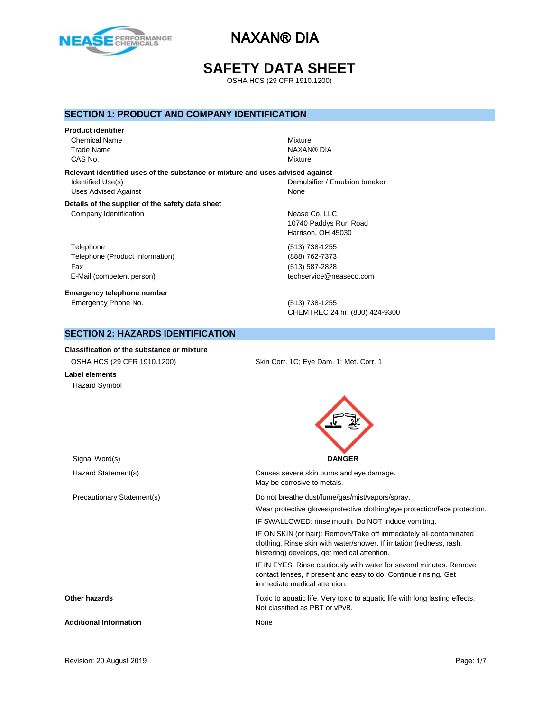

# **SAFETY DATA SHEET**

OSHA HCS (29 CFR 1910.1200)

## **SECTION 1: PRODUCT AND COMPANY IDENTIFICATION**

# **Product identifier** Chemical Name Mixture Trade Name NAXAN® DIA

CAS No. Notice that the contract of the contract of the contract of the contract of the contract of the contract of the contract of the contract of the contract of the contract of the contract of the contract of the contra **Relevant identified uses of the substance or mixture and uses advised against**

Uses Advised Against None

Identified Use(s) The Internal of the Use of the Demulsifier / Emulsion breaker

### **Details of the supplier of the safety data sheet** Company Identification **Nease Co.** LLC

Telephone (513) 738-1255 Telephone (Product Information) (888) 762-7373 Fax (513) 587-2828 E-Mail (competent person) example a second techservice@neaseco.com

**Emergency telephone number** Emergency Phone No. (513) 738-1255

10740 Paddys Run Road Harrison, OH 45030

CHEMTREC 24 hr. (800) 424-9300

# **SECTION 2: HAZARDS IDENTIFICATION**

### **Classification of the substance or mixture**

| OSHA HCS (29 CFR 1910.1200) | Skin Corr. 1C: Eye Dam. 1; Met. Corr. 1 |
|-----------------------------|-----------------------------------------|
| Label elements              |                                         |

Hazard Symbol



Signal Word(s) **DANGER** Hazard Statement(s) Causes severe skin burns and eye damage. May be corrosive to metals. Precautionary Statement(s) example and the Do not breathe dust/fume/gas/mist/vapors/spray. Wear protective gloves/protective clothing/eye protection/face protection. IF SWALLOWED: rinse mouth. Do NOT induce vomiting. IF ON SKIN (or hair): Remove/Take off immediately all contaminated clothing. Rinse skin with water/shower. If irritation (redness, rash, blistering) develops, get medical attention. IF IN EYES: Rinse cautiously with water for several minutes. Remove contact lenses, if present and easy to do. Continue rinsing. Get immediate medical attention. **Other hazards** Toxic to aquatic life. Very toxic to aquatic life with long lasting effects. Not classified as PBT or vPvB. **Additional Information** None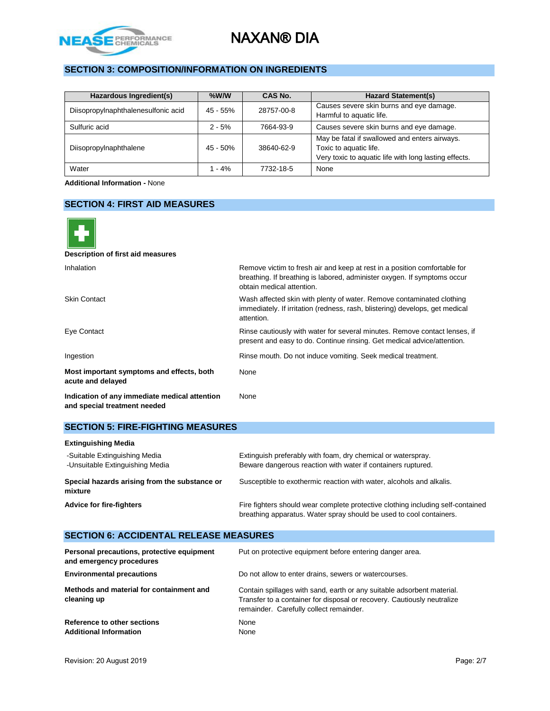

# **SECTION 3: COMPOSITION/INFORMATION ON INGREDIENTS**

| Hazardous Ingredient(s)             | $%$ W/W    | CAS No.    | <b>Hazard Statement(s)</b>                                                                                                       |
|-------------------------------------|------------|------------|----------------------------------------------------------------------------------------------------------------------------------|
| Diisopropylnaphthalenesulfonic acid | $45 - 55%$ | 28757-00-8 | Causes severe skin burns and eye damage.<br>Harmful to aquatic life.                                                             |
| Sulfuric acid                       | $2 - 5%$   | 7664-93-9  | Causes severe skin burns and eye damage.                                                                                         |
| Diisopropylnaphthalene              | $45 - 50%$ | 38640-62-9 | May be fatal if swallowed and enters airways.<br>Toxic to aquatic life.<br>Very toxic to aquatic life with long lasting effects. |
| Water                               | 1 - 4%     | 7732-18-5  | None                                                                                                                             |

**Additional Information -** None

## **SECTION 4: FIRST AID MEASURES**

| Remove victim to fresh air and keep at rest in a position comfortable for<br>breathing. If breathing is labored, administer oxygen. If symptoms occur<br>obtain medical attention. |
|------------------------------------------------------------------------------------------------------------------------------------------------------------------------------------|
| Wash affected skin with plenty of water. Remove contaminated clothing<br>immediately. If irritation (redness, rash, blistering) develops, get medical<br>attention.                |
| Rinse cautiously with water for several minutes. Remove contact lenses, if<br>present and easy to do. Continue rinsing. Get medical advice/attention.                              |
| Rinse mouth. Do not induce vomiting. Seek medical treatment.                                                                                                                       |
| None                                                                                                                                                                               |
| None                                                                                                                                                                               |
|                                                                                                                                                                                    |

## **SECTION 5: FIRE-FIGHTING MEASURES**

| <b>Extinguishing Media</b>                                       |                                                                                                                                                        |
|------------------------------------------------------------------|--------------------------------------------------------------------------------------------------------------------------------------------------------|
| -Suitable Extinguishing Media<br>-Unsuitable Extinguishing Media | Extinguish preferably with foam, dry chemical or waterspray.<br>Beware dangerous reaction with water if containers ruptured.                           |
| Special hazards arising from the substance or<br>mixture         | Susceptible to exothermic reaction with water, alcohols and alkalis.                                                                                   |
| Advice for fire-fighters                                         | Fire fighters should wear complete protective clothing including self-contained<br>breathing apparatus. Water spray should be used to cool containers. |

### **SECTION 6: ACCIDENTAL RELEASE MEASURES Personal precautions, protective equipment and emergency procedures** Put on protective equipment before entering danger area.

**Environmental precautions Do not allow to enter drains, sewers or watercourses. Methods and material for containment and cleaning up** Contain spillages with sand, earth or any suitable adsorbent material. Transfer to a container for disposal or recovery. Cautiously neutralize remainder. Carefully collect remainder. **Reference to other sections None Additional Information** None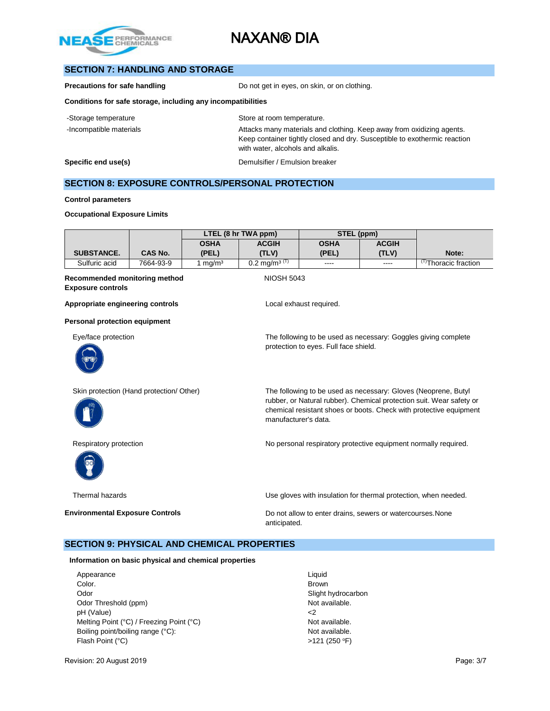

# **SECTION 7: HANDLING AND STORAGE**

**Precautions for safe handling** Do not get in eyes, on skin, or on clothing.

### **Conditions for safe storage, including any incompatibilities**

| -Storage temperature    | Store at room temperature.                                                                                                                                                              |
|-------------------------|-----------------------------------------------------------------------------------------------------------------------------------------------------------------------------------------|
| -Incompatible materials | Attacks many materials and clothing. Keep away from oxidizing agents.<br>Keep container tightly closed and dry. Susceptible to exothermic reaction<br>with water, alcohols and alkalis. |
| Specific end use(s)     | Demulsifier / Emulsion breaker                                                                                                                                                          |

# **SECTION 8: EXPOSURE CONTROLS/PERSONAL PROTECTION**

#### **Control parameters**

#### **Occupational Exposure Limits**

|                   |           | LTEL (8 hr TWA ppm) |                          | STEL (ppm)    |              |                                 |
|-------------------|-----------|---------------------|--------------------------|---------------|--------------|---------------------------------|
|                   |           | OSHA                | <b>ACGIH</b>             | <b>OSHA</b>   | <b>ACGIH</b> |                                 |
| <b>SUBSTANCE.</b> | CAS No.   | (PEL)               | (TLV)                    | (PEL)         | (TLV)        | Note:                           |
| Sulfuric acid     | 7664-93-9 | mq/m <sup>3</sup>   | $0.2 \text{ mg/m}^3$ (T) | $\frac{1}{2}$ | $- - - -$    | <sup>T)</sup> Thoracic fraction |

protection to eyes. Full face shield.

manufacturer's data.

### **Recommended monitoring method NIOSH 5043 Exposure controls**

**Appropriate engineering controls Local exhaust required.** 

### **Personal protection equipment**

Eye/face protection The following to be used as necessary: Goggles giving complete



Skin protection (Hand protection/ Other) The following to be used as necessary: Gloves (Neoprene, Butyl



Respiratory protection **No personal respiratory protective equipment normally required.** 



rubber, or Natural rubber). Chemical protection suit. Wear safety or chemical resistant shoes or boots. Check with protective equipment

Thermal hazards Use gloves with insulation for thermal protection, when needed.

**Environmental Exposure Controls Example 20 Do not allow to enter drains, sewers or watercourses. None** anticipated.

# **SECTION 9: PHYSICAL AND CHEMICAL PROPERTIES**

**Information on basic physical and chemical properties**

Appearance Liquid Color. Brown Odor Slight hydrocarbon Odor Threshold (ppm) pH (Value)  $\leq$ Melting Point (°C) / Freezing Point (°C) Not available. Boiling point/boiling range (°C): Not available. Flash Point  $(^{\circ}C)$  >121 (250  $^{\circ}F$ )

Revision: 20 August 2019 Page: 3/7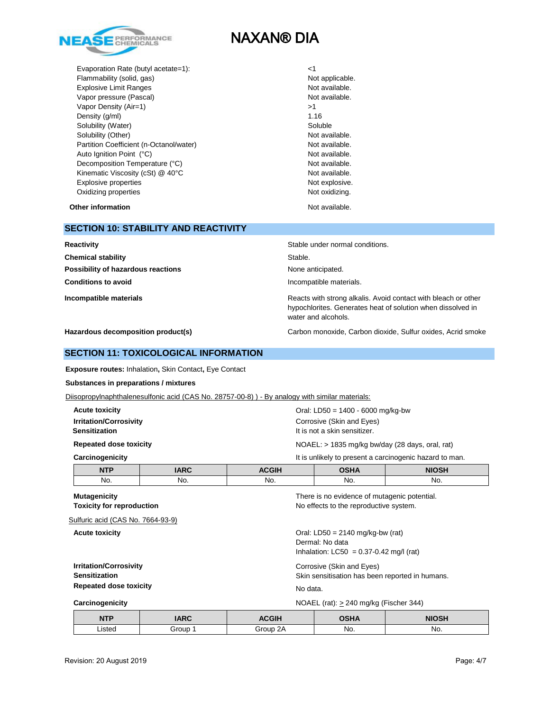

Evaporation Rate (butyl acetate=1): <1 Flammability (solid, gas) Not applicable. Explosive Limit Ranges **Not available**. Vapor pressure (Pascal) Not available. Vapor Density (Air=1) >1 Density (g/ml) 1.16 Solubility (Water) Soluble Soluble Solubility (Other) Not available. Partition Coefficient (n-Octanol/water) Not available. Auto Ignition Point (°C) and the control of the control of the Not available. Decomposition Temperature (°C) Not available. Kinematic Viscosity (cSt) @ 40°C Not available. Explosive properties Not explosive. Oxidizing properties Not oxidizing.

**Other information** Not available.

## **SECTION 10: STABILITY AND REACTIVITY**

| Reactivity                         | Stable under normal conditions.                                                                                                                      |
|------------------------------------|------------------------------------------------------------------------------------------------------------------------------------------------------|
| <b>Chemical stability</b>          | Stable.                                                                                                                                              |
| Possibility of hazardous reactions | None anticipated.                                                                                                                                    |
| <b>Conditions to avoid</b>         | Incompatible materials.                                                                                                                              |
| Incompatible materials             | Reacts with strong alkalis. Avoid contact with bleach or other<br>hypochlorites. Generates heat of solution when dissolved in<br>water and alcohols. |

**Hazardous decomposition product(s)** Carbon monoxide, Carbon dioxide, Sulfur oxides, Acrid smoke

### **SECTION 11: TOXICOLOGICAL INFORMATION**

**Exposure routes:** Inhalation**,** Skin Contact**,** Eye Contact

### **Substances in preparations / mixtures**

Diisopropylnaphthalenesulfonic acid (CAS No. 28757-00-8)) - By analogy with similar materials:

| <b>Acute toxicity</b><br><b>Irritation/Corrosivity</b><br><b>Sensitization</b>                                                |                                                                              | Oral: LD50 = $1400 - 6000$ mg/kg-bw<br>Corrosive (Skin and Eyes)<br>It is not a skin sensitizer. |                                                                                        |                                                         |
|-------------------------------------------------------------------------------------------------------------------------------|------------------------------------------------------------------------------|--------------------------------------------------------------------------------------------------|----------------------------------------------------------------------------------------|---------------------------------------------------------|
| <b>Repeated dose toxicity</b>                                                                                                 |                                                                              |                                                                                                  | NOAEL: $>$ 1835 mg/kg bw/day (28 days, oral, rat)                                      |                                                         |
| Carcinogenicity                                                                                                               |                                                                              |                                                                                                  |                                                                                        | It is unlikely to present a carcinogenic hazard to man. |
| <b>NTP</b>                                                                                                                    | <b>IARC</b>                                                                  | <b>ACGIH</b>                                                                                     | <b>OSHA</b>                                                                            | <b>NIOSH</b>                                            |
| No.                                                                                                                           | No.                                                                          | No.                                                                                              | No.                                                                                    | No.                                                     |
| <b>Mutagenicity</b><br><b>Toxicity for reproduction</b><br>Sulfuric acid (CAS No. 7664-93-9)                                  |                                                                              |                                                                                                  | There is no evidence of mutagenic potential.<br>No effects to the reproductive system. |                                                         |
| Oral: $LD50 = 2140$ mg/kg-bw (rat)<br><b>Acute toxicity</b><br>Dermal: No data<br>Inhalation: $LC50 = 0.37 - 0.42$ mg/l (rat) |                                                                              |                                                                                                  |                                                                                        |                                                         |
| <b>Irritation/Corrosivity</b><br><b>Sensitization</b>                                                                         | Corrosive (Skin and Eyes)<br>Skin sensitisation has been reported in humans. |                                                                                                  |                                                                                        |                                                         |
| <b>Repeated dose toxicity</b>                                                                                                 |                                                                              | No data.                                                                                         |                                                                                        |                                                         |
| Carcinogenicity                                                                                                               |                                                                              |                                                                                                  | $NOAEL$ (rat): $> 240$ mg/kg (Fischer 344)                                             |                                                         |

| <b>NTP</b>  | <b>IARC</b> | <b>ACGIH</b> | OCHA | <b>NIOSH</b> |
|-------------|-------------|--------------|------|--------------|
| Listed<br>. | Group       | ΩΔ<br>Group  | No.  | No.          |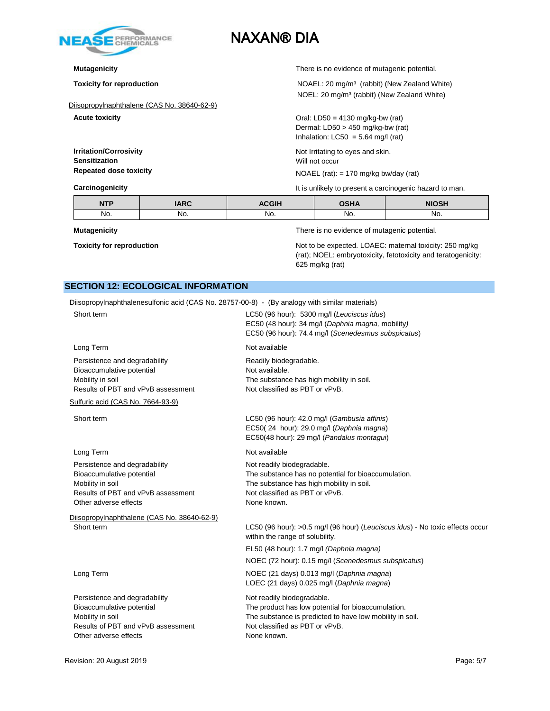

Diisopropylnaphthalene (CAS No. 38640-62-9)

**Sensitization** Will not occur

**Mutagenicity** There is no evidence of mutagenic potential.

**Toxicity for reproduction NOAEL:** 20 mg/m<sup>3</sup> (rabbit) (New Zealand White) NOEL: 20 mg/m³ (rabbit) (New Zealand White)

**Acute toxicity Acute is a set of the set of the CO**ral: LD50 = 4130 mg/kg-bw (rat) Dermal: LD50 > 450 mg/kg-bw (rat) Inhalation:  $LC50 = 5.64$  mg/l (rat)

**Irritation/Corrosivity Irritation/Corrosivity Not Irritating to eyes and skin.** 

**Repeated dose toxicity** NOAEL (rat): = 170 mg/kg bw/day (rat)

**Carcinogenicity Carcinogenicity It is unlikely to present a carcinogenic hazard to man.** 

| <b>NITD</b><br>14 L L | ADC<br><b>JANU</b> | 0.011      | <b>OCUA</b> | <b>NIOSH</b>  |
|-----------------------|--------------------|------------|-------------|---------------|
| No.                   | No.                | NO.<br>___ | No.         | No.<br>$\sim$ |

**Mutagenicity** There is no evidence of mutagenic potential.

**Toxicity for reproduction Not to be expected. LOAEC: maternal toxicity: 250 mg/kg** Not to be expected. LOAEC: maternal toxicity: 250 mg/kg (rat); NOEL: embryotoxicity, fetotoxicity and teratogenicity: 625 mg/kg (rat)

# **SECTION 12: ECOLOGICAL INFORMATION**

| Diisopropylnaphthalenesulfonic acid (CAS No. 28757-00-8) - (By analogy with similar materials)                                                                                                |
|-----------------------------------------------------------------------------------------------------------------------------------------------------------------------------------------------|
| LC50 (96 hour): 5300 mg/l (Leuciscus idus)<br>EC50 (48 hour): 34 mg/l (Daphnia magna, mobility)<br>EC50 (96 hour): 74.4 mg/l (Scenedesmus subspicatus)                                        |
| Not available                                                                                                                                                                                 |
| Readily biodegradable.<br>Not available.<br>The substance has high mobility in soil.<br>Not classified as PBT or vPvB.                                                                        |
|                                                                                                                                                                                               |
| LC50 (96 hour): 42.0 mg/l (Gambusia affinis)<br>EC50(24 hour): 29.0 mg/l (Daphnia magna)<br>EC50(48 hour): 29 mg/l (Pandalus montagui)                                                        |
| Not available                                                                                                                                                                                 |
| Not readily biodegradable.<br>The substance has no potential for bioaccumulation.<br>The substance has high mobility in soil.<br>Not classified as PBT or vPvB.<br>None known.                |
|                                                                                                                                                                                               |
| LC50 (96 hour): >0.5 mg/l (96 hour) (Leuciscus idus) - No toxic effects occur<br>within the range of solubility.                                                                              |
| EL50 (48 hour): 1.7 mg/l (Daphnia magna)                                                                                                                                                      |
| NOEC (72 hour): 0.15 mg/l (Scenedesmus subspicatus)                                                                                                                                           |
| NOEC (21 days) 0.013 mg/l (Daphnia magna)<br>LOEC (21 days) 0.025 mg/l (Daphnia magna)                                                                                                        |
| Not readily biodegradable.<br>The product has low potential for bioaccumulation.<br>The substance is predicted to have low mobility in soil.<br>Not classified as PBT or vPvB.<br>None known. |
|                                                                                                                                                                                               |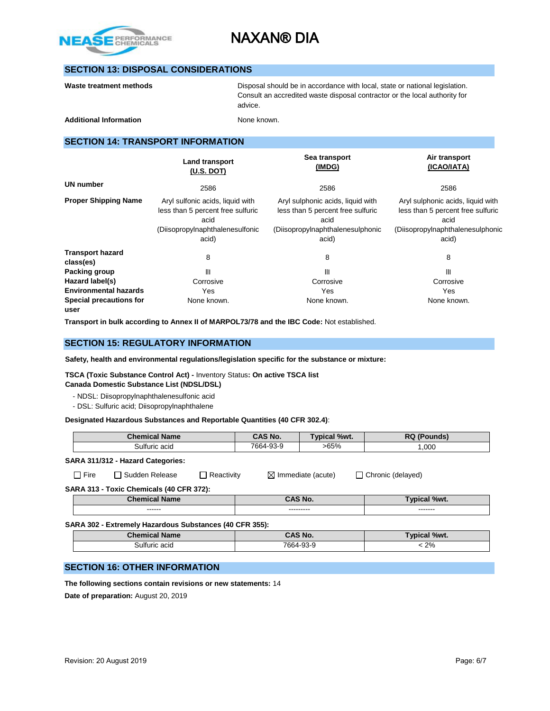

# **SECTION 13: DISPOSAL CONSIDERATIONS**

| Waste treatment methods |  |  |
|-------------------------|--|--|
|-------------------------|--|--|

**Washer Methods** Disposal should be in accordance with local, state or national legislation. Consult an accredited waste disposal contractor or the local authority for advice.

Additional Information **None known**.

# **SECTION 14: TRANSPORT INFORMATION**

|                                      | <b>Land transport</b><br>(U.S. DOT)                                                                                       | Sea transport<br>(IMDG)                                                                                                     | Air transport<br>(ICAO/IATA)                                                                                                |  |
|--------------------------------------|---------------------------------------------------------------------------------------------------------------------------|-----------------------------------------------------------------------------------------------------------------------------|-----------------------------------------------------------------------------------------------------------------------------|--|
| <b>UN number</b>                     | 2586                                                                                                                      | 2586                                                                                                                        | 2586                                                                                                                        |  |
| <b>Proper Shipping Name</b>          | Aryl sulfonic acids, liquid with<br>less than 5 percent free sulfuric<br>acid<br>(Diisopropylnaphthalenesulfonic<br>acid) | Aryl sulphonic acids, liquid with<br>less than 5 percent free sulfuric<br>acid<br>(Diisopropylnaphthalenesulphonic<br>acid) | Aryl sulphonic acids, liquid with<br>less than 5 percent free sulfuric<br>acid<br>(Diisopropylnaphthalenesulphonic<br>acid) |  |
| <b>Transport hazard</b><br>class(es) | 8                                                                                                                         | 8                                                                                                                           | 8                                                                                                                           |  |
| Packing group                        | Ш                                                                                                                         | Ш                                                                                                                           | Ш                                                                                                                           |  |
| Hazard label(s)                      | Corrosive                                                                                                                 | Corrosive                                                                                                                   | Corrosive                                                                                                                   |  |
| <b>Environmental hazards</b>         | Yes                                                                                                                       | Yes                                                                                                                         | Yes                                                                                                                         |  |
| Special precautions for<br>user      | None known.                                                                                                               | None known.                                                                                                                 | None known.                                                                                                                 |  |

**Transport in bulk according to Annex II of MARPOL73/78 and the IBC Code:** Not established.

# **SECTION 15: REGULATORY INFORMATION**

**Safety, health and environmental regulations/legislation specific for the substance or mixture:**

**TSCA (Toxic Substance Control Act) -** Inventory Status**: On active TSCA list Canada Domestic Substance List (NDSL/DSL)**

- NDSL: Diisopropylnaphthalenesulfonic acid

- DSL: Sulfuric acid; Diisopropylnaphthalene

**Designated Hazardous Substances and Reportable Quantities (40 CFR 302.4)**:

| <b>Chemical Name</b>                                    |                                   | CAS No.                       | Typical %wt. |  | <b>RQ (Pounds)</b>       |  |  |
|---------------------------------------------------------|-----------------------------------|-------------------------------|--------------|--|--------------------------|--|--|
| Sulfuric acid                                           |                                   | 7664-93-9                     | $>65\%$      |  | 1,000                    |  |  |
|                                                         | SARA 311/312 - Hazard Categories: |                               |              |  |                          |  |  |
| $\Box$ Fire<br>□ Sudden Release<br>$\Box$ Reactivity    |                                   | $\boxtimes$ Immediate (acute) |              |  | $\Box$ Chronic (delayed) |  |  |
| SARA 313 - Toxic Chemicals (40 CFR 372):                |                                   |                               |              |  |                          |  |  |
| <b>Chemical Name</b>                                    |                                   | <b>CAS No.</b>                |              |  | Typical %wt.             |  |  |
| ------                                                  |                                   |                               |              |  | -------                  |  |  |
| SARA 302 - Extremely Hazardous Substances (40 CFR 355): |                                   |                               |              |  |                          |  |  |
| <b>Chemical Name</b>                                    |                                   | CAS No.                       |              |  | Typical %wt.             |  |  |
| Sulfuric acid                                           |                                   | 7664-93-9                     |              |  | $< 2\%$                  |  |  |

## **SECTION 16: OTHER INFORMATION**

**The following sections contain revisions or new statements:** 14 **Date of preparation:** August 20, 2019